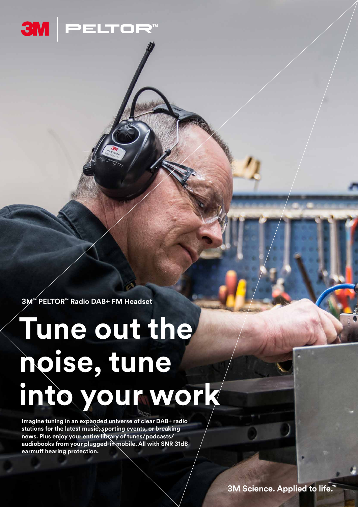

**3M™ PELTOR™ Radio DAB+ FM Headset**

# **Tune out the noise, tune into your work**

**Imagine tuning in an expanded universe of clear DAB+ radio stations for the latest music, sporting events, or breaking news. Plus enjoy your entire library of tunes/podcasts/ audiobooks from your plugged-in mobile. All with SNR 31dB earmuff hearing protection.**

**3M Science. Applied to life.™**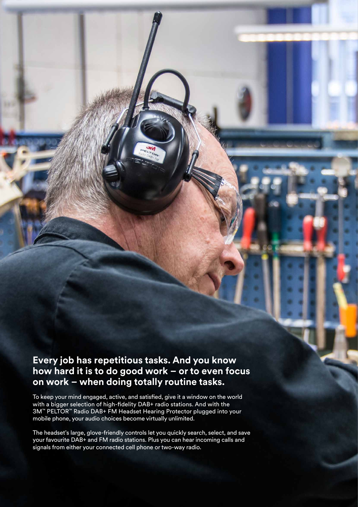### **Every job has repetitious tasks. And you know how hard it is to do good work – or to even focus on work – when doing totally routine tasks.**

To keep your mind engaged, active, and satisfied, give it a window on the world with a bigger selection of high-fidelity DAB+ radio stations. And with the 3M™ PELTOR™ Radio DAB+ FM Headset Hearing Protector plugged into your mobile phone, your audio choices become virtually unlimited.

The headset's large, glove-friendly controls let you quickly search, select, and save your favourite DAB+ and FM radio stations. Plus you can hear incoming calls and signals from either your connected cell phone or two-way radio.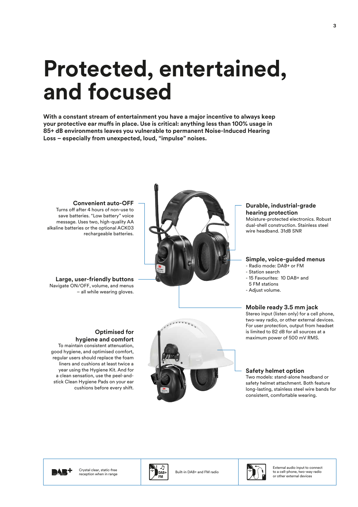# **Protected, entertained, and focused**

**With a constant stream of entertainment you have a major incentive to always keep your protective ear muffs in place. Use is critical: anything less than 100% usage in 85+ dB environments leaves you vulnerable to permanent Noise-Induced Hearing Loss – especially from unexpected, loud, "impulse" noises.**



#### **hearing protection** Moisture-protected electronics. Robust dual-shell construction. Stainless steel wire headband. 31dB SNR

**Durable, industrial-grade** 

#### **Simple, voice-guided menus**

- Radio mode: DAB+ or FM
- Station search
- 15 Favourites: 10 DAB+ and
- 5 FM stations
- Adjust volume.

#### **Mobile ready 3.5 mm jack**

Stereo input (listen only) for a cell phone, two-way radio, or other external devices. For user protection, output from headset is limited to 82 dB for all sources at a maximum power of 500 mV RMS.

#### **Safety helmet option**

Two models: stand-alone headband or safety helmet attachment. Both feature long-lasting, stainless steel wire bands for consistent, comfortable wearing.

**Convenient auto-OFF** Turns off after 4 hours of non-use to save batteries. "Low battery" voice message. Uses two, high-quality AA alkaline batteries or the optional ACK03 rechargeable batteries.

**Large, user-friendly buttons** Navigate ON/OFF, volume, and menus – all while wearing gloves.

**Optimised for** 

**hygiene and comfort** To maintain consistent attenuation, good hygiene, and optimised comfort, regular users should replace the foam liners and cushions at least twice a year using the Hygiene Kit. And for a clean sensation, use the peel-andstick Clean Hygiene Pads on your ear

cushions before every shift.



M

Crystal clear, static-free Crystal clear, static-tree<br>reception when in range  $\begin{bmatrix} \ \cdot & \ \cdot & \ \end{bmatrix}$  DAB+ Built-in DAB+ and FM radio





External audio input to connect to a cell-phone, two-way radio or other external devices